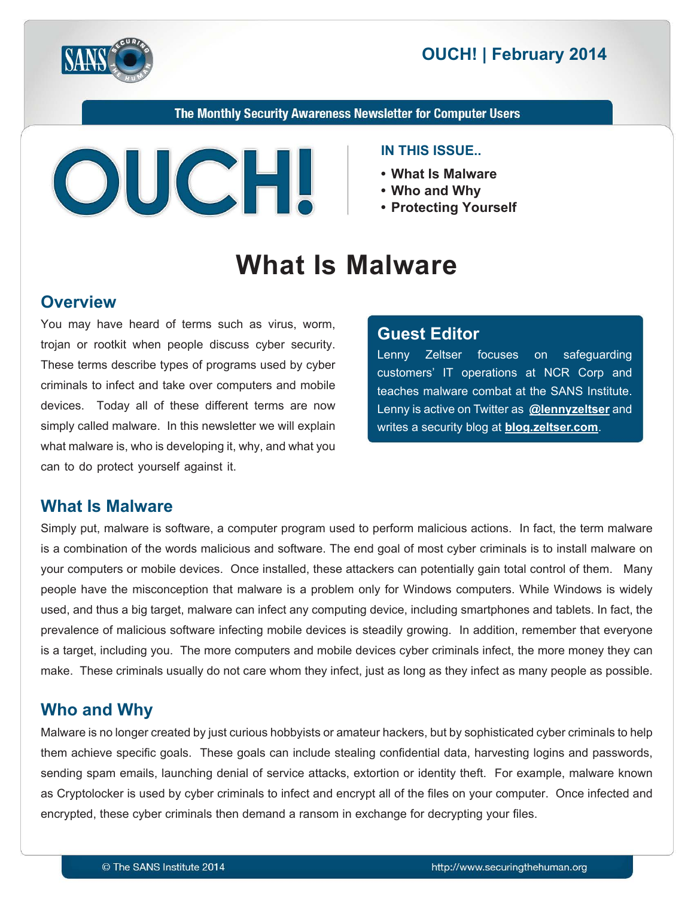

# **2014 CUCH! | February 2014**

The Monthly Security Awareness Newsletter for Computer Users



#### **IN THIS ISSUE..**

- What Is Malware
- **Why and Who•**
- **Yourself Protecting•**

# **What Is Malware**

### **Overview**

You may have heard of terms such as virus, worm, trojan or rootkit when people discuss cyber security. These terms describe types of programs used by cyber criminals to infect and take over computers and mobile devices. Today all of these different terms are now simply called malware. In this newsletter we will explain what malware is, who is developing it, why, and what you can to do protect yourself against it.

#### **Editor Guest**

Lenny Zeltser focuses on safeguarding customers' IT operations at NCR Corp and teaches malware combat at the SANS Institute. Lenny is active on Twitter as **@[lennyzeltser](https://twitter.com/lennyzeltser)** and writes a security blog at **blog zeltser.com**.

### **What Is Malware**

Simply put, malware is software, a computer program used to perform malicious actions. In fact, the term malware is a combination of the words malicious and software. The end goal of most cyber criminals is to install malware on your computers or mobile devices. Once installed, these attackers can potentially gain total control of them. Many people have the misconception that malware is a problem only for Windows computers. While Windows is widely used, and thus a big target, malware can infect any computing device, including smartphones and tablets. In fact, the prevalence of malicious software infecting mobile devices is steadily growing. In addition, remember that everyone is a target, including you. The more computers and mobile devices cyber criminals infect, the more money they can make. These criminals usually do not care whom they infect, just as long as they infect as many people as possible.

### **Who and Why**

Malware is no longer created by just curious hobbyists or amateur hackers, but by sophisticated cyber criminals to help them achieve specific goals. These goals can include stealing confidential data, harvesting logins and passwords, sending spam emails, launching denial of service attacks, extortion or identity theft. For example, malware known as Cryptolocker is used by cyber criminals to infect and encrypt all of the files on your computer. Once infected and encrypted, these cyber criminals then demand a ransom in exchange for decrypting your files.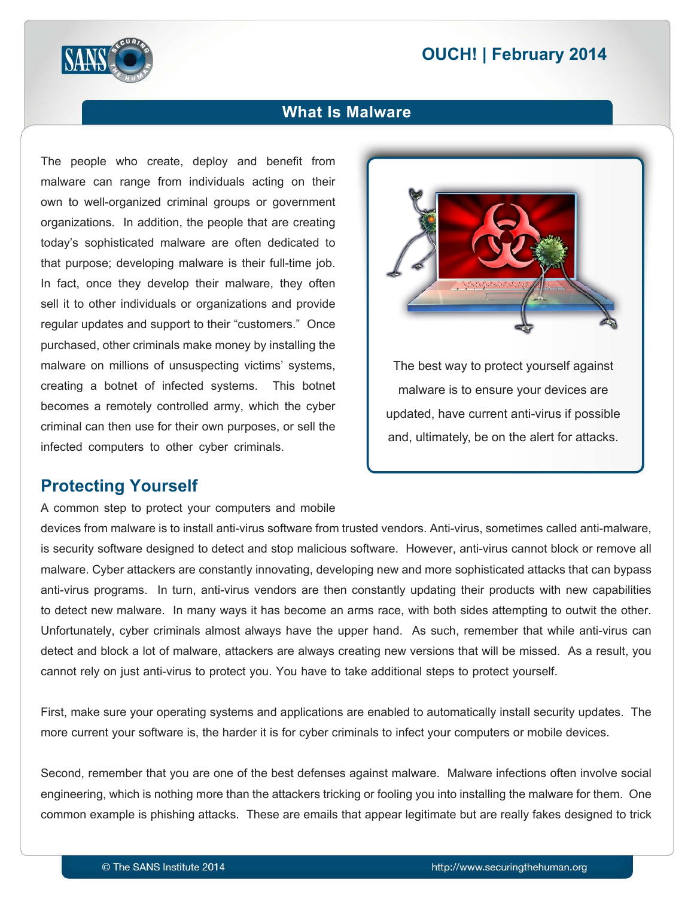# **2014 CUCH! | February 2014**



### **What Is Malware**

The people who create, deploy and benefit from malware can range from individuals acting on their own to well-organized criminal groups or government organizations. In addition, the people that are creating today's sophisticated malware are often dedicated to that purpose; developing malware is their full-time job. In fact, once they develop their malware, they often sell it to other individuals or organizations and provide regular updates and support to their "customers." Once purchased, other criminals make money by installing the malware on millions of unsuspecting victims' systems. creating a botnet of infected systems. This botnet becomes a remotely controlled army, which the cyber criminal can then use for their own purposes, or sell the infected computers to other cyber criminals.



The best way to protect yourself against malware is to ensure your devices are updated, have current anti-virus if possible and, ultimately, be on the alert for attacks.

#### **Protecting Yourself**

A common step to protect your computers and mobile

devices from malware is to install anti-virus software from trusted vendors. Anti-virus, sometimes called anti-malware, is security software designed to detect and stop malicious software. However, anti-virus cannot block or remove all malware. Cyber attackers are constantly innovating, developing new and more sophisticated attacks that can bypass anti-virus programs. In turn, anti-virus vendors are then constantly updating their products with new capabilities to detect new malware. In many ways it has become an arms race, with both sides attempting to outwit the other. Unfortunately, cyber criminals almost always have the upper hand. As such, remember that while anti-virus can detect and block a lot of malware, attackers are always creating new versions that will be missed. As a result, you cannot rely on just anti-virus to protect you. You have to take additional steps to protect yourself.

First, make sure your operating systems and applications are enabled to automatically install security updates. The more current your software is, the harder it is for cyber criminals to infect your computers or mobile devices.

Second, remember that you are one of the best defenses against malware. Malware infections often involve social engineering, which is nothing more than the attackers tricking or fooling you into installing the malware for them. One common example is phishing attacks. These are emails that appear legitimate but are really fakes designed to trick